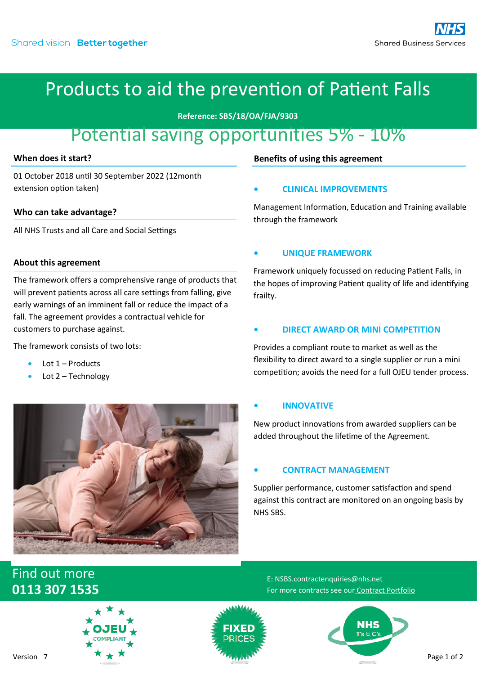**Reference: SBS/18/OA/FJA/9303**

## Potential saving opportunities 5% - 10%

#### **When does it start?**

01 October 2018 until 30 September 2022 (12month extension option taken)

#### **Who can take advantage?**

All NHS Trusts and all Care and Social Settings

#### **About this agreement**

The framework offers a comprehensive range of products that will prevent patients across all care settings from falling, give early warnings of an imminent fall or reduce the impact of a fall. The agreement provides a contractual vehicle for customers to purchase against.

The framework consists of two lots:

- Lot  $1$  Products
- Lot 2 Technology



#### **Benefits of using this agreement**

#### **• CLINICAL IMPROVEMENTS**

Management Information, Education and Training available through the framework

#### **• UNIQUE FRAMEWORK**

Framework uniquely focussed on reducing Patient Falls, in the hopes of improving Patient quality of life and identifying frailty.

#### **• DIRECT AWARD OR MINI COMPETITION**

Provides a compliant route to market as well as the flexibility to direct award to a single supplier or run a mini competition; avoids the need for a full OJEU tender process.

#### **• INNOVATIVE**

New product innovations from awarded suppliers can be added throughout the lifetime of the Agreement.

#### **• CONTRACT MANAGEMENT**

E: [NSBS.contractenquiries@nhs.net](mailto:NSBS.contractenquiries@nhs.net?subject=Contract%20Enquiry)

For more contracts see our [Contract Portfolio](https://www.sbs.nhs.uk/proc-framework-agreements-support)

Supplier performance, customer satisfaction and spend against this contract are monitored on an ongoing basis by NHS SBS.

### Find out more **0113 307 1535**





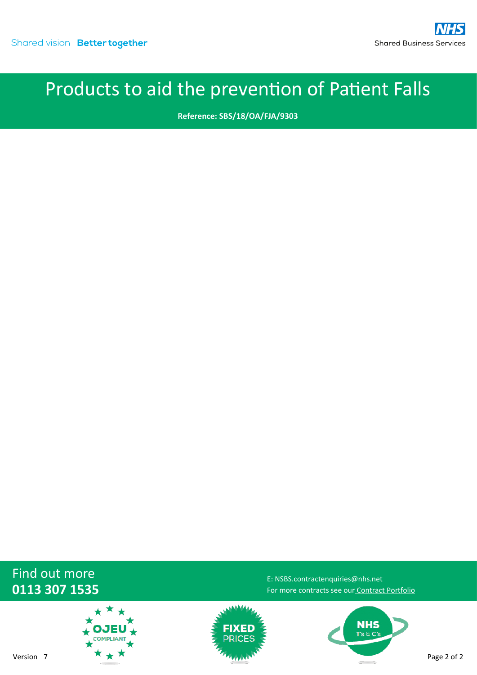**Reference: SBS/18/OA/FJA/9303**

### Find out more **0113 307 1535**





For more contracts see our [Contract Portfolio](https://www.sbs.nhs.uk/proc-framework-agreements-support)

**NHS** T's & C's

E: [NSBS.contractenquiries@nhs.net](mailto:NSBS.contractenquiries@nhs.net?subject=Contract%20Enquiry)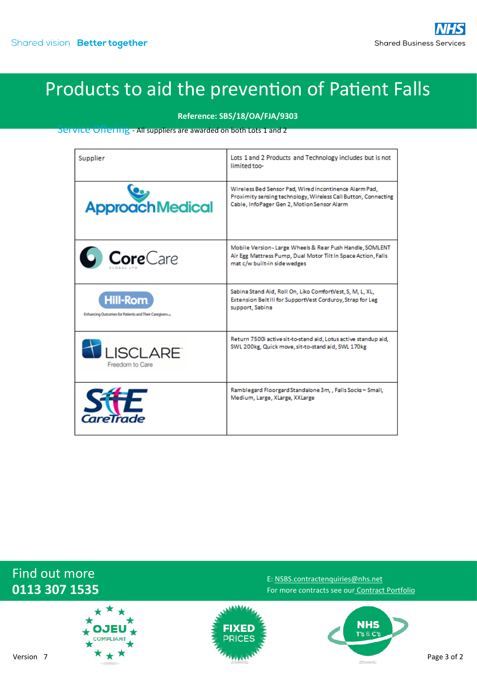**Reference: SBS/18/OA/FJA/9303**

Service Offering - All suppliers are awarded on both Lots 1 and 2

| Supplier                                                            | Lots 1 and 2 Products and Technology includes but is not<br>limited too-                                                                                                |
|---------------------------------------------------------------------|-------------------------------------------------------------------------------------------------------------------------------------------------------------------------|
| <b>ApproachMedical</b>                                              | Wireless Bed Sensor Pad, Wired Incontinence Alarm Pad,<br>Proximity sensing technology, Wireless Call Button, Connecting<br>Cable, InfoPager Gen 2, Motion Sensor Alarm |
| <b>Core</b> Care                                                    | Mobile Version-Large Wheels & Rear Push Handle, SOMLENT<br>Air Egg Mattress Pump, Dual Motor Tilt In Space Action, Falls<br>mat c/w built-in side wedges                |
| Hill-Rom.<br>Enhancing Outcomes for Patients and Their Caregivers.» | Sabina Stand Aid, Roll On, Liko ComfortVest, S, M, L, XL,<br>Extension Belt III for SupportVest Corduroy, Strap for Leg<br>support, Sabina                              |
| LISCLARE <sup>®</sup><br>Freedom to Care                            | Return 7500i active sit-to-stand aid, Lotus active standup aid,<br>SWL 200kg, Quick move, sit-to-stand aid, SWL 170kg                                                   |
| CareTrade                                                           | Ramblegard Floorgard Standalone 3m, , Falls Socks - Small,<br>Medium, Large, XLarge, XXLarge                                                                            |

### Find out more **0113 307 1535**





E: [NSBS.contractenquiries@nhs.net](mailto:NSBS.contractenquiries@nhs.net?subject=Contract%20Enquiry) For more contracts see our [Contract Portfolio](https://www.sbs.nhs.uk/proc-framework-agreements-support)